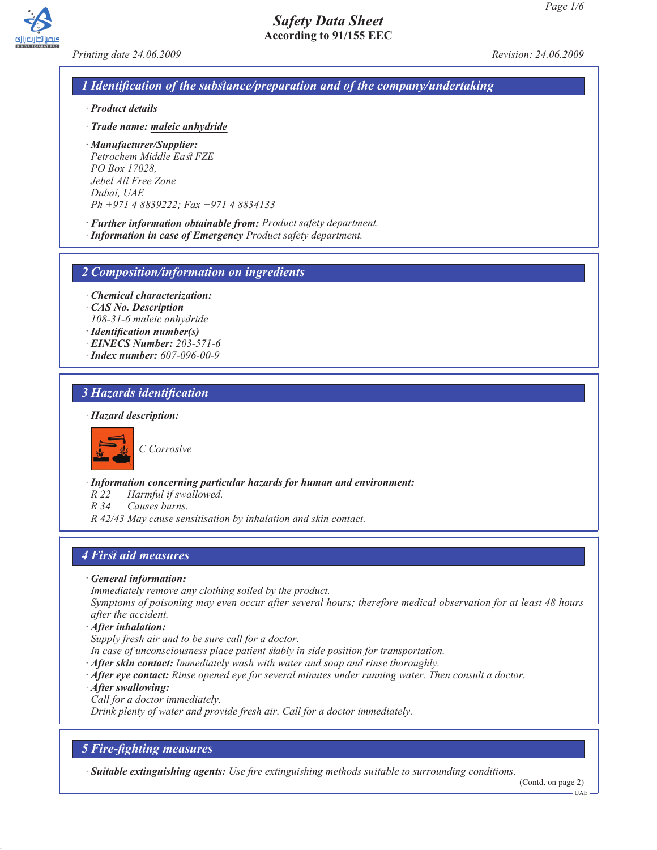

*Printing date 24.06.2009 Revision: 24.06.2009*

# *1 Identification of the substance/preparation and of the company/undertaking*

*Safety Data Sheet* **According to 91/155 EEC**

- *· Product details*
- *· Trade name: maleic anhydride*
- *· Manufacturer/Supplier: Petrochem Middle East FZE PO Box 17028, Jebel Ali Free Zone Dubai, UAE Ph +971 4 8839222; Fax +971 4 8834133*
- *· Further information obtainable from: Product safety department.*
- *· Information in case of Emergency Product safety department.*

*2 Composition/information on ingredients*

- *· Chemical characterization:*
- *· CAS No. Description 108-31-6 maleic anhydride*
- *· Identification number(s)*
- *· EINECS Number: 203-571-6*
- *· Index number: 607-096-00-9*

# *3 Hazards identification*

#### *· Hazard description:*



*C Corrosive*

*· Information concerning particular hazards for human and environment:*

*R 22 Harmful if swallowed.*

*R 34 Causes burns.*

*R 42/43 May cause sensitisation by inhalation and skin contact.*

## *4 First aid measures*

*· General information:*

*Immediately remove any clothing soiled by the product.*

*Symptoms of poisoning may even occur after several hours; therefore medical observation for at least 48 hours after the accident.*

*· After inhalation:*

*Supply fresh air and to be sure call for a doctor.*

- *In case of unconsciousness place patient stably in side position for transportation.*
- *· After skin contact: Immediately wash with water and soap and rinse thoroughly.*
- *· After eye contact: Rinse opened eye for several minutes under running water. Then consult a doctor.*
- *· After swallowing:*

*Call for a doctor immediately.*

*Drink plenty of water and provide fresh air. Call for a doctor immediately.*

## *5 Fire-fighting measures*

*· Suitable extinguishing agents: Use fire extinguishing methods suitable to surrounding conditions.*

(Contd. on page 2) UAE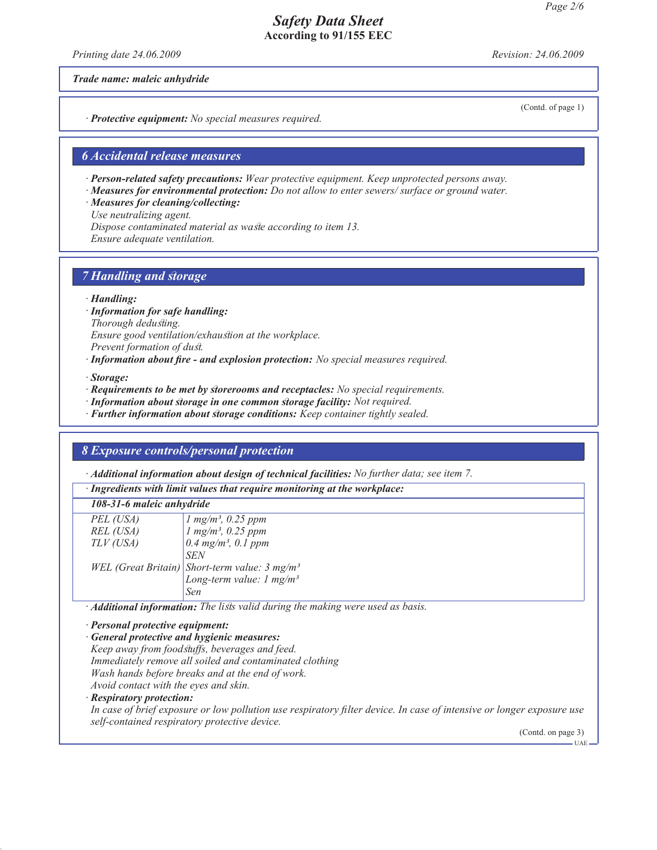*Printing date 24.06.2009 Revision: 24.06.2009*

(Contd. of page 1)

*Trade name: maleic anhydride*

*· Protective equipment: No special measures required.*

### *6 Accidental release measures*

*· Person-related safety precautions: Wear protective equipment. Keep unprotected persons away.*

*· Measures for environmental protection: Do not allow to enter sewers/ surface or ground water.*

*· Measures for cleaning/collecting:*

*Use neutralizing agent.*

*Dispose contaminated material as waste according to item 13.*

*Ensure adequate ventilation.*

## *7 Handling and storage*

*· Handling:*

*· Information for safe handling:*

*Thorough dedusting.*

*Ensure good ventilation/exhaustion at the workplace.*

*Prevent formation of dust.*

*· Information about fire - and explosion protection: No special measures required.*

*· Storage:*

- *· Requirements to be met by storerooms and receptacles: No special requirements.*
- *· Information about storage in one common storage facility: Not required.*

*· Further information about storage conditions: Keep container tightly sealed.*

#### *8 Exposure controls/personal protection*

*· Additional information about design of technical facilities: No further data; see item 7.*

*· Ingredients with limit values that require monitoring at the workplace:*

| 108-31-6 maleic anhydride |                                                                                                                          |
|---------------------------|--------------------------------------------------------------------------------------------------------------------------|
| PEL (USA)                 | $\begin{array}{ l l } \hline l~mg/m^3,~0.25~ppm} \ \hline l~mg/m^3,~0.25~ppm} \ \hline 0.4~mg/m^3,~0.1~ppm} \end{array}$ |
| REL (USA)                 |                                                                                                                          |
| TLV (USA)                 |                                                                                                                          |
|                           | <b>SEN</b>                                                                                                               |
|                           |                                                                                                                          |
|                           | WEL (Great Britain) Short-term value: $3 \text{ mg/m}^3$<br>Long-term value: $1 \text{ mg/m}^3$                          |
|                           | Sen                                                                                                                      |
|                           |                                                                                                                          |

*· Additional information: The lists valid during the making were used as basis.*

*· Personal protective equipment:*

*· General protective and hygienic measures: Keep away from foodstuffs, beverages and feed. Immediately remove all soiled and contaminated clothing Wash hands before breaks and at the end of work. Avoid contact with the eyes and skin.*

*· Respiratory protection:*

*In case of brief exposure or low pollution use respiratory filter device. In case of intensive or longer exposure use self-contained respiratory protective device.*

(Contd. on page 3)  $\overline{\text{II}}$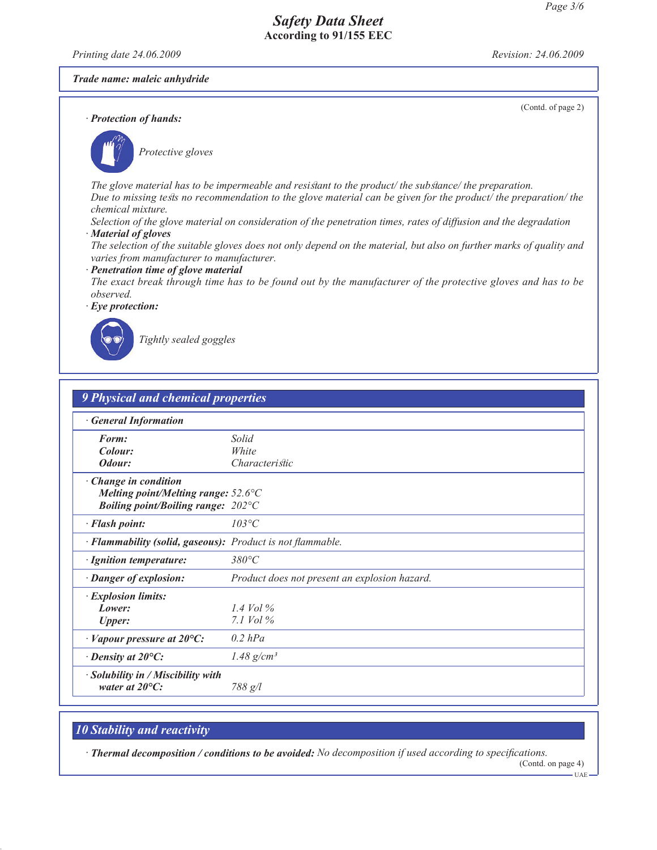*Printing date 24.06.2009 Revision: 24.06.2009*

*Trade name: maleic anhydride*

*· Protection of hands:*

(Contd. of page 2)



*Protective gloves*

*The glove material has to be impermeable and resistant to the product/ the substance/ the preparation. Due to missing tests no recommendation to the glove material can be given for the product/ the preparation/ the*

*chemical mixture.*

*Selection of the glove material on consideration of the penetration times, rates of diffusion and the degradation · Material of gloves*

*The selection of the suitable gloves does not only depend on the material, but also on further marks of quality and varies from manufacturer to manufacturer.*

*· Penetration time of glove material*

*The exact break through time has to be found out by the manufacturer of the protective gloves and has to be observed.*

*· Eye protection:*



*Tightly sealed goggles*

| <b>9 Physical and chemical properties</b>                            |                                               |  |
|----------------------------------------------------------------------|-----------------------------------------------|--|
| <b>General Information</b>                                           |                                               |  |
| Form:                                                                | Solid                                         |  |
| Colour:                                                              | White                                         |  |
| Odour:                                                               | Characteristic                                |  |
| · Change in condition                                                |                                               |  |
| Melting point/Melting range: $52.6^{\circ}$ C                        |                                               |  |
| <i>Boiling point/Boiling range:</i> $202^{\circ}C$                   |                                               |  |
| · Flash point:                                                       | $103^{\circ}C$                                |  |
| · Flammability (solid, gaseous): Product is not flammable.           |                                               |  |
| · Ignition temperature:                                              | $380^{\circ}C$                                |  |
| · Danger of explosion:                                               | Product does not present an explosion hazard. |  |
| · Explosion limits:                                                  |                                               |  |
| Lower:                                                               | 1.4 Vol $\%$                                  |  |
| <b>Upper:</b>                                                        | 7.1 $Vol\%$                                   |  |
| $\cdot$ Vapour pressure at 20 $\circ$ C:                             | $0.2$ hPa                                     |  |
| $\cdot$ Density at 20 $\mathrm{^{\circ}C:}$                          | 1.48 $g/cm^3$                                 |  |
| $\cdot$ Solubility in / Miscibility with<br>water at $20^{\circ}$ C: | 788 g/l                                       |  |

# *10 Stability and reactivity*

*· Thermal decomposition / conditions to be avoided: No decomposition if used according to specifications.*

(Contd. on page 4) UAE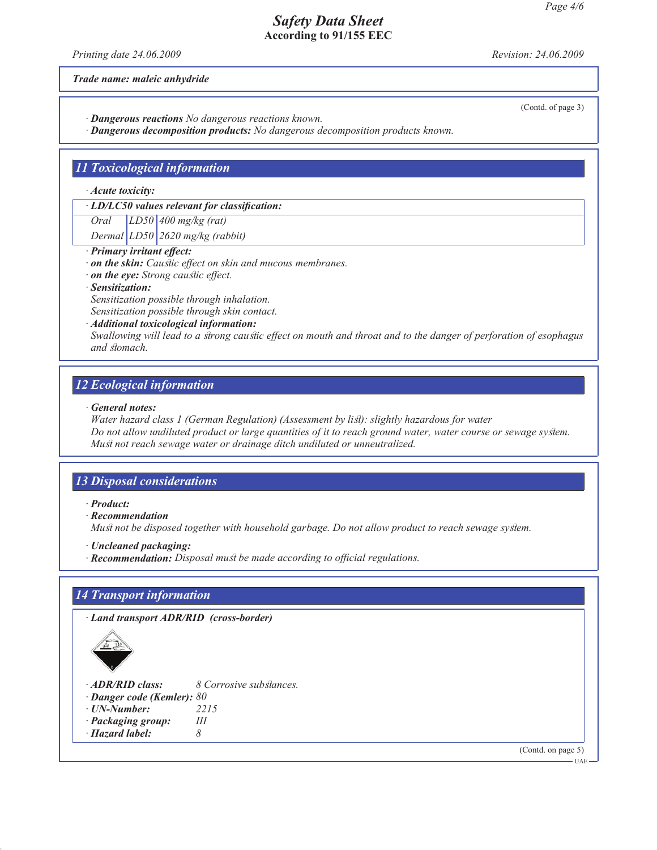*Printing date 24.06.2009 Revision: 24.06.2009*

*Trade name: maleic anhydride*

*· Dangerous reactions No dangerous reactions known.*

*· Dangerous decomposition products: No dangerous decomposition products known.*

## *11 Toxicological information*

*· Acute toxicity:*

*· LD/LC50 values relevant for classification:*

*Oral LD50 400 mg/kg (rat)*

*Dermal LD50 2620 mg/kg (rabbit)*

## *· Primary irritant effect:*

*· on the skin: Caustic effect on skin and mucous membranes.*

*· on the eye: Strong caustic effect.*

#### *· Sensitization:*

*Sensitization possible through inhalation.*

*Sensitization possible through skin contact.*

*· Additional toxicological information: Swallowing will lead to a strong caustic effect on mouth and throat and to the danger of perforation of esophagus and stomach.*

## *12 Ecological information*

#### *· General notes:*

*Water hazard class 1 (German Regulation) (Assessment by list): slightly hazardous for water Do not allow undiluted product or large quantities of it to reach ground water, water course or sewage system. Must not reach sewage water or drainage ditch undiluted or unneutralized.*

# *13 Disposal considerations*

*· Product:*

*· Recommendation*

*Must not be disposed together with household garbage. Do not allow product to reach sewage system.*

- *· Uncleaned packaging:*
- *· Recommendation: Disposal must be made according to official regulations.*

# *14 Transport information*

*· Land transport ADR/RID (cross-border)*



- *· ADR/RID class: 8 Corrosive substances.*
- *Danger code (Kemler): 80*<br>*UN-Number:* 2215
- *· UN-Number:* 221<br>*·* Packaging groun: III
- *<i>· Packaging group:*
- *· Hazard label: 8*

(Contd. on page 5)

(Contd. of page 3)

 $UAP$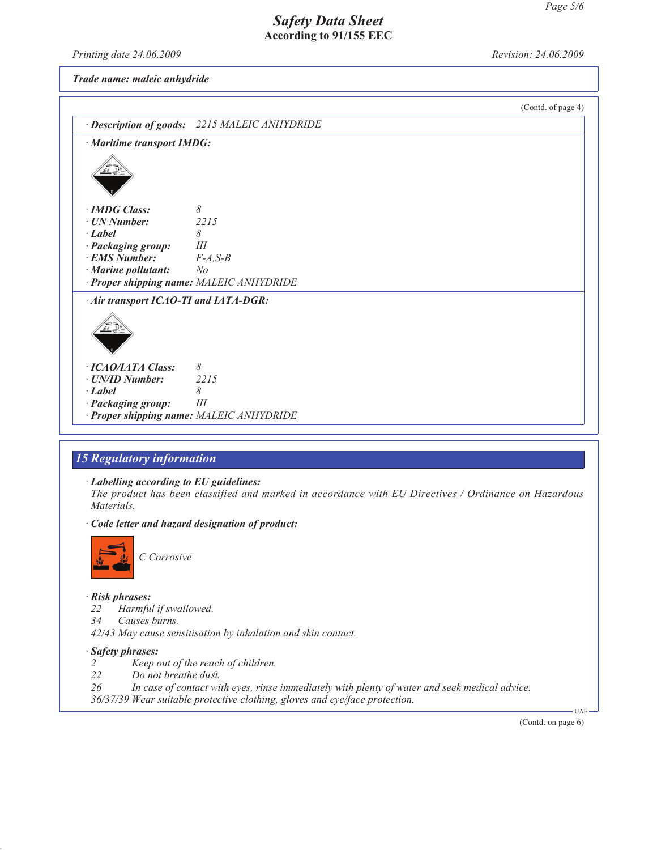*Printing date 24.06.2009 Revision: 24.06.2009*

*Trade name: maleic anhydride*



# *15 Regulatory information*

*· Labelling according to EU guidelines:*

*The product has been classified and marked in accordance with EU Directives / Ordinance on Hazardous Materials.*

*· Code letter and hazard designation of product:*



## *· Risk phrases:*

- *22 Harmful if swallowed.*
- *34 Causes burns.*
- *42/43 May cause sensitisation by inhalation and skin contact.*

## *· Safety phrases:*

- *2 Keep out of the reach of children.*
- *22 Do not breathe dust.*
- *26 In case of contact with eyes, rinse immediately with plenty of water and seek medical advice.*
- *36/37/39 Wear suitable protective clothing, gloves and eye/face protection.*

(Contd. on page 6)

UAE